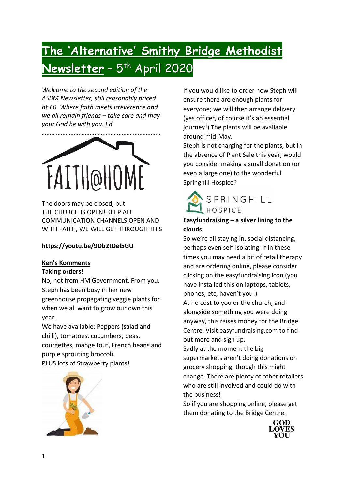# **The 'Alternative' Smithy Bridge Methodist Newsletter** – 5 th April 2020

*Welcome to the second edition of the ASBM Newsletter, still reasonably priced at £0. Where faith meets irreverence and we all remain friends – take care and may your God be with you. Ed*



The doors may be closed, but THE CHURCH IS OPEN! KEEP ALL COMMUNICATION CHANNELS OPEN AND WITH FAITH, WE WILL GET THROUGH THIS

## **<https://youtu.be/9Db2tDel5GU>**

### **Ken's Komments**

#### **Taking orders!**

No, not from HM Government. From you. Steph has been busy in her new greenhouse propagating veggie plants for when we all want to grow our own this year.

We have available: Peppers (salad and chilli), tomatoes, cucumbers, peas, courgettes, mange tout, French beans and purple sprouting broccoli. PLUS lots of Strawberry plants!



If you would like to order now Steph will ensure there are enough plants for everyone; we will then arrange delivery (yes officer, of course it's an essential journey!) The plants will be available around mid-May.

Steph is not charging for the plants, but in the absence of Plant Sale this year, would you consider making a small donation (or even a large one) to the wonderful Springhill Hospice?



# **Easyfundraising – a silver lining to the clouds**

So we're all staying in, social distancing, perhaps even self-isolating. If in these times you may need a bit of retail therapy and are ordering online, please consider clicking on the easyfundraising icon (you have installed this on laptops, tablets, phones, etc, haven't you!)

At no cost to you or the church, and alongside something you were doing anyway, this raises money for the Bridge Centre. Visit easyfundraising.com to find out more and sign up.

Sadly at the moment the big supermarkets aren't doing donations on grocery shopping, though this might change. There are plenty of other retailers who are still involved and could do with the business!

So if you are shopping online, please get them donating to the Bridge Centre.

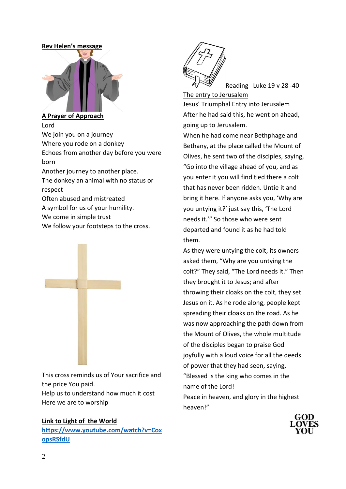#### **Rev Helen's message**



**A Prayer of Approach**  Lord We join you on a journey Where you rode on a donkey Echoes from another day before you were born Another journey to another place. The donkey an animal with no status or respect Often abused and mistreated A symbol for us of your humility.

We come in simple trust

We follow your footsteps to the cross.



This cross reminds us of Your sacrifice and the price You paid. Help us to understand how much it cost Here we are to worship

#### **Link to Light of the World**

**[https://www.youtube.com/watch?v=Cox](https://www.youtube.com/watch?v=CoxopsRSfdU) [opsRSfdU](https://www.youtube.com/watch?v=CoxopsRSfdU)**



Reading Luke 19 v 28 -40

The entry to Jerusalem Jesus' Triumphal Entry into Jerusalem After he had said this, he went on ahead, going up to Jerusalem.

When he had come near Bethphage and Bethany, at the place called the Mount of Olives, he sent two of the disciples, saying, "Go into the village ahead of you, and as you enter it you will find tied there a colt that has never been ridden. Untie it and bring it here. If anyone asks you, 'Why are you untying it?' just say this, 'The Lord needs it.'" So those who were sent departed and found it as he had told them.

As they were untying the colt, its owners asked them, "Why are you untying the colt?" They said, "The Lord needs it." Then they brought it to Jesus; and after throwing their cloaks on the colt, they set Jesus on it. As he rode along, people kept spreading their cloaks on the road. As he was now approaching the path down from the Mount of Olives, the whole multitude of the disciples began to praise God joyfully with a loud voice for all the deeds of power that they had seen, saying, "Blessed is the king who comes in the name of the Lord! Peace in heaven, and glory in the highest heaven!"

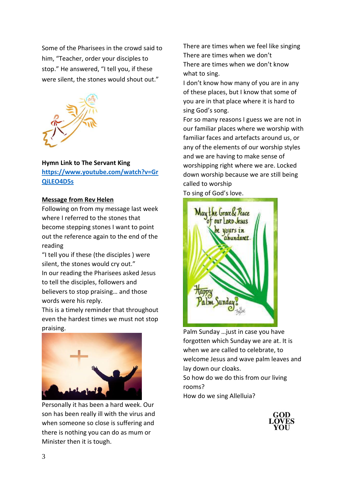Some of the Pharisees in the crowd said to him, "Teacher, order your disciples to stop." He answered, "I tell you, if these were silent, the stones would shout out."



#### **Hymn Link to The Servant King**

**[https://www.youtube.com/watch?v=Gr](https://www.youtube.com/watch?v=GrQiLEO4D5s) [QiLEO4D5s](https://www.youtube.com/watch?v=GrQiLEO4D5s)**

#### **Message from Rev Helen**

Following on from my message last week where I referred to the stones that become stepping stones I want to point out the reference again to the end of the reading

"I tell you if these (the disciples ) were silent, the stones would cry out." In our reading the Pharisees asked Jesus to tell the disciples, followers and believers to stop praising… and those words were his reply.

This is a timely reminder that throughout even the hardest times we must not stop praising.



Personally it has been a hard week. Our son has been really ill with the virus and when someone so close is suffering and there is nothing you can do as mum or Minister then it is tough.

There are times when we feel like singing There are times when we don't There are times when we don't know what to sing.

I don't know how many of you are in any of these places, but I know that some of you are in that place where it is hard to sing God's song.

For so many reasons I guess we are not in our familiar places where we worship with familiar faces and artefacts around us, or any of the elements of our worship styles and we are having to make sense of worshipping right where we are. Locked down worship because we are still being called to worship

To sing of God's love.



Palm Sunday …just in case you have forgotten which Sunday we are at. It is when we are called to celebrate, to welcome Jesus and wave palm leaves and lay down our cloaks. So how do we do this from our living

rooms?

How do we sing Allelluia?

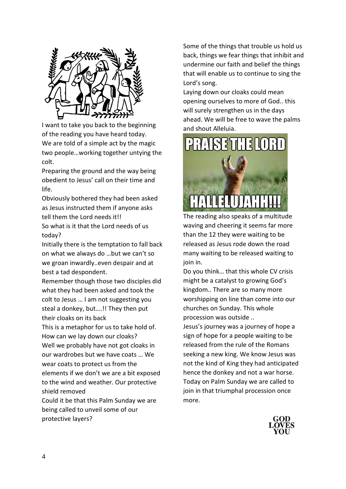

I want to take you back to the beginning of the reading you have heard today. We are told of a simple act by the magic two people…working together untying the colt.

Preparing the ground and the way being obedient to Jesus' call on their time and life.

Obviously bothered they had been asked as Jesus instructed them if anyone asks tell them the Lord needs it!!

So what is it that the Lord needs of us today?

Initially there is the temptation to fall back on what we always do …but we can't so we groan inwardly..even despair and at best a tad despondent.

Remember though those two disciples did what they had been asked and took the colt to Jesus … I am not suggesting you steal a donkey, but….!! They then put their cloaks on its back

This is a metaphor for us to take hold of. How can we lay down our cloaks?

Well we probably have not got cloaks in our wardrobes but we have coats … We wear coats to protect us from the elements if we don't we are a bit exposed to the wind and weather. Our protective shield removed

Could it be that this Palm Sunday we are being called to unveil some of our protective layers?

Some of the things that trouble us hold us back, things we fear things that inhibit and undermine our faith and belief the things that will enable us to continue to sing the Lord's song.

Laying down our cloaks could mean opening ourselves to more of God.. this will surely strengthen us in the days ahead. We will be free to wave the palms and shout Alleluia.



The reading also speaks of a multitude waving and cheering it seems far more than the 12 they were waiting to be released as Jesus rode down the road many waiting to be released waiting to join in.

Do you think… that this whole CV crisis might be a catalyst to growing God's kingdom.. There are so many more worshipping on line than come into our churches on Sunday. This whole procession was outside ..

Jesus's journey was a journey of hope a sign of hope for a people waiting to be released from the rule of the Romans seeking a new king. We know Jesus was not the kind of King they had anticipated hence the donkey and not a war horse. Today on Palm Sunday we are called to join in that triumphal procession once more.